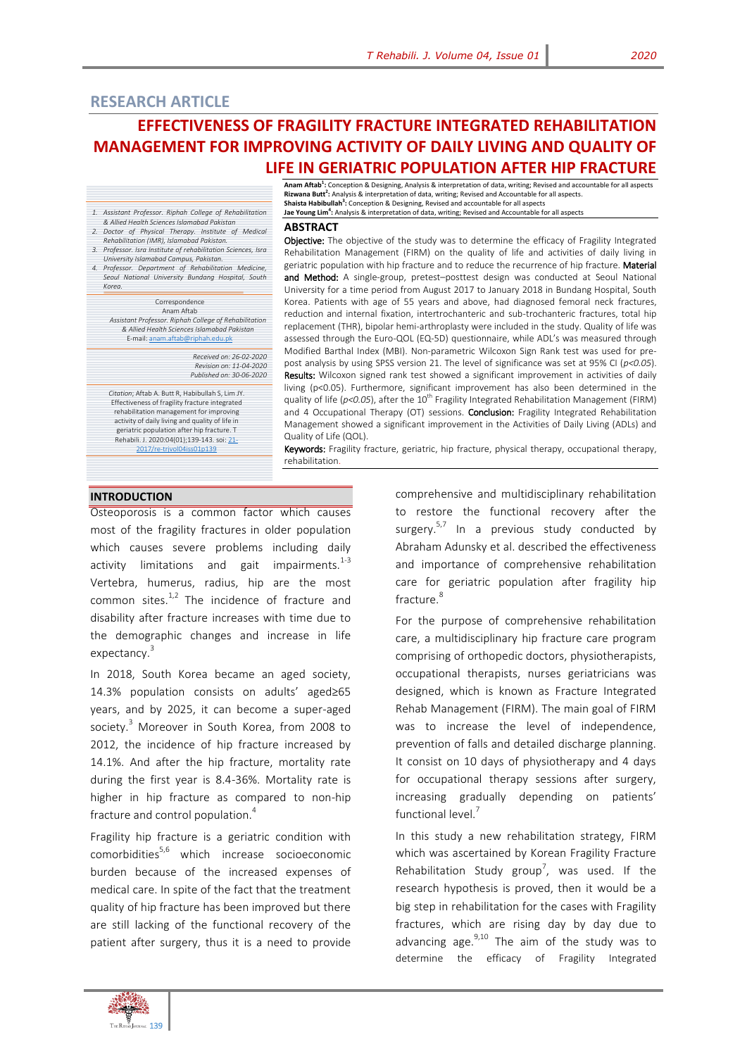# **EFFECTIVENESS OF FRAGILITY FRACTURE INTEGRATED REHABILITATION MANAGEMENT FOR IMPROVING ACTIVITY OF DAILY LIVING AND QUALITY OF LIFE IN GERIATRIC POPULATION AFTER HIP FRACTURE**

- *1. Assistant Professor. Riphah College of Rehabilitation & Allied Health Sciences Islamabad Pakistan*
- *2. Doctor of Physical Therapy. Institute of Medical Rehabilitation (IMR), Islamabad Pakistan.*
- *3. Professor. Isra Institute of rehabilitation Sciences, Isra*
- *University Islamabad Campus, Pakistan. 4. Professor. Department of Rehabilitation Medicine,*
- *Seoul National University Bundang Hospital, South Korea.*

| Correspondence                                        |  |  |
|-------------------------------------------------------|--|--|
| Anam Aftab                                            |  |  |
| Assistant Professor. Riphah College of Rehabilitation |  |  |
|                                                       |  |  |

*& Allied Health Sciences Islamabad Pakistan* E-mail[: anam.aftab@riphah.edu.pk](mailto:anam.aftab@riphah.edu.pk)

> *Received on: 26-02-2020 Revision on: 11-04-2020 Published on: 30-06-2020*

*Citation*; Aftab A. Butt R, Habibullah S, Lim JY. Effectiveness of fragility fracture integrated rehabilitation management for improving activity of daily living and quality of life in geriatric population after hip fracture. T Rehabili. J. 2020:04(01);139-143. soi[: 21-](http://trjournal.org/index.php/TRJ/article/view/9) [2017/re-trjvol04iss01p139](http://trjournal.org/index.php/TRJ/article/view/9)

**Anam Aftab<sup>1</sup> :** Conception & Designing, Analysis & interpretation of data, writing; Revised and accountable for all aspects **Rizwana Butt<sup>2</sup> :** Analysis & interpretation of data, writing; Revised and Accountable for all aspects. **Shaista Habibullah<sup>3</sup> :** Conception & Designing, Revised and accountable for all aspects **Jae Young Lim<sup>4</sup> :** Analysis & interpretation of data, writing; Revised and Accountable for all aspects

#### **ABSTRACT**

Objective: The objective of the study was to determine the efficacy of Fragility Integrated Rehabilitation Management (FIRM) on the quality of life and activities of daily living in geriatric population with hip fracture and to reduce the recurrence of hip fracture. Material and Method: A single-group, pretest-posttest design was conducted at Seoul National University for a time period from August 2017 to January 2018 in Bundang Hospital, South Korea. Patients with age of 55 years and above, had diagnosed femoral neck fractures, reduction and internal fixation, intertrochanteric and sub-trochanteric fractures, total hip replacement (THR), bipolar hemi-arthroplasty were included in the study. Quality of life was assessed through the Euro-QOL (EQ-5D) questionnaire, while ADL's was measured through Modified Barthal Index (MBI). Non-parametric Wilcoxon Sign Rank test was used for prepost analysis by using SPSS version 21. The level of significance was set at 95% CI (*p<0.05*). Results: Wilcoxon signed rank test showed a significant improvement in activities of daily living (p<0.05). Furthermore, significant improvement has also been determined in the quality of life (*p<0.05*), after the 10<sup>th</sup> Fragility Integrated Rehabilitation Management (FIRM) and 4 Occupational Therapy (OT) sessions. **Conclusion:** Fragility Integrated Rehabilitation Management showed a significant improvement in the Activities of Daily Living (ADLs) and Quality of Life (QOL).

Keywords: Fragility fracture, geriatric, hip fracture, physical therapy, occupational therapy, rehabilitation.

#### **INTRODUCTION**

Osteoporosis is a common factor which causes most of the fragility fractures in older population which causes severe problems including daily activity limitations and gait impairments. $1-3$ Vertebra, humerus, radius, hip are the most common sites. $1,2$  The incidence of fracture and disability after fracture increases with time due to the demographic changes and increase in life expectancy.<sup>3</sup>

In 2018, South Korea became an aged society, 14.3% population consists on adults' aged≥65 years, and by 2025, it can become a super-aged society.<sup>3</sup> Moreover in South Korea, from 2008 to 2012, the incidence of hip fracture increased by 14.1%. And after the hip fracture, mortality rate during the first year is 8.4-36%. Mortality rate is higher in hip fracture as compared to non-hip fracture and control population.<sup>4</sup>

Fragility hip fracture is a geriatric condition with comorbidities $5.6$  which increase socioeconomic burden because of the increased expenses of medical care. In spite of the fact that the treatment quality of hip fracture has been improved but there are still lacking of the functional recovery of the patient after surgery, thus it is a need to provide

comprehensive and multidisciplinary rehabilitation to restore the functional recovery after the surgery.<sup>5,7</sup> In a previous study conducted by Abraham Adunsky et al. described the effectiveness and importance of comprehensive rehabilitation care for geriatric population after fragility hip fracture.<sup>8</sup>

For the purpose of comprehensive rehabilitation care, a multidisciplinary hip fracture care program comprising of orthopedic doctors, physiotherapists, occupational therapists, nurses geriatricians was designed, which is known as Fracture Integrated Rehab Management (FIRM). The main goal of FIRM was to increase the level of independence, prevention of falls and detailed discharge planning. It consist on 10 days of physiotherapy and 4 days for occupational therapy sessions after surgery, increasing gradually depending on patients' functional level.

In this study a new rehabilitation strategy, FIRM which was ascertained by Korean Fragility Fracture Rehabilitation Study group<sup>7</sup>, was used. If the research hypothesis is proved, then it would be a big step in rehabilitation for the cases with Fragility fractures, which are rising day by day due to advancing age. $^{9,10}$  The aim of the study was to determine the efficacy of Fragility Integrated

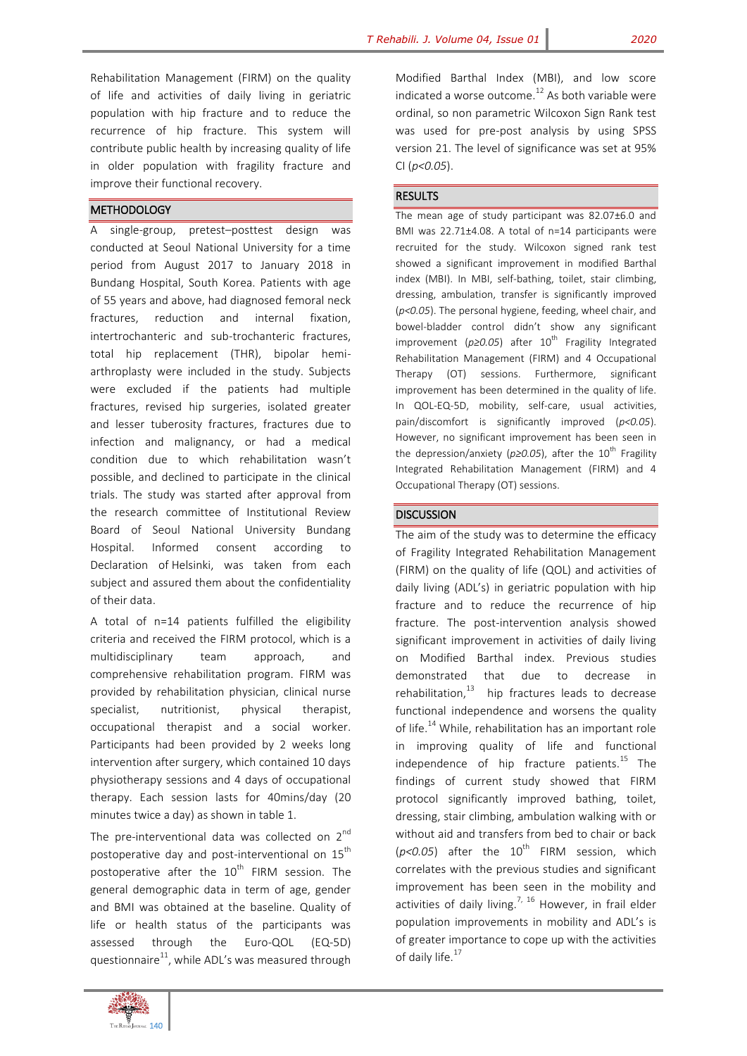Rehabilitation Management (FIRM) on the quality of life and activities of daily living in geriatric population with hip fracture and to reduce the recurrence of hip fracture. This system will contribute public health by increasing quality of life in older population with fragility fracture and improve their functional recovery.

## **METHODOLOGY**

A single-group, pretest–posttest design was conducted at Seoul National University for a time period from August 2017 to January 2018 in Bundang Hospital, South Korea. Patients with age of 55 years and above, had diagnosed femoral neck fractures, reduction and internal fixation, intertrochanteric and sub-trochanteric fractures, total hip replacement (THR), bipolar hemiarthroplasty were included in the study. Subjects were excluded if the patients had multiple fractures, revised hip surgeries, isolated greater and lesser tuberosity fractures, fractures due to infection and malignancy, or had a medical condition due to which rehabilitation wasn't possible, and declined to participate in the clinical trials. The study was started after approval from the research committee of Institutional Review Board of Seoul National University Bundang Hospital. Informed consent according to Declaration of Helsinki, was taken from each subject and assured them about the confidentiality of their data.

A total of n=14 patients fulfilled the eligibility criteria and received the FIRM protocol, which is a multidisciplinary team approach, and comprehensive rehabilitation program. FIRM was provided by rehabilitation physician, clinical nurse specialist, nutritionist, physical therapist, occupational therapist and a social worker. Participants had been provided by 2 weeks long intervention after surgery, which contained 10 days physiotherapy sessions and 4 days of occupational therapy. Each session lasts for 40mins/day (20 minutes twice a day) as shown in table 1.

The pre-interventional data was collected on 2<sup>nd</sup> postoperative day and post-interventional on 15<sup>th</sup> postoperative after the  $10^{th}$  FIRM session. The general demographic data in term of age, gender and BMI was obtained at the baseline. Quality of life or health status of the participants was assessed through the Euro-QOL (EQ-5D) questionnaire $^{11}$ , while ADL's was measured through

Modified Barthal Index (MBI), and low score indicated a worse outcome.<sup>12</sup> As both variable were ordinal, so non parametric Wilcoxon Sign Rank test was used for pre-post analysis by using SPSS version 21. The level of significance was set at 95% CI (*p<0.05*).

## RESULTS

The mean age of study participant was 82.07±6.0 and BMI was 22.71±4.08. A total of n=14 participants were recruited for the study. Wilcoxon signed rank test showed a significant improvement in modified Barthal index (MBI). In MBI, self-bathing, toilet, stair climbing, dressing, ambulation, transfer is significantly improved (*p<0.05*). The personal hygiene, feeding, wheel chair, and bowel-bladder control didn't show any significant improvement (p≥0.05) after 10<sup>th</sup> Fragility Integrated Rehabilitation Management (FIRM) and 4 Occupational Therapy (OT) sessions. Furthermore, significant improvement has been determined in the quality of life. In QOL-EQ-5D, mobility, self-care, usual activities, pain/discomfort is significantly improved (*p<0.05*). However, no significant improvement has been seen in the depression/anxiety (p≥0.05), after the 10<sup>th</sup> Fragility Integrated Rehabilitation Management (FIRM) and 4 Occupational Therapy (OT) sessions.

# **DISCUSSION**

The aim of the study was to determine the efficacy of Fragility Integrated Rehabilitation Management (FIRM) on the quality of life (QOL) and activities of daily living (ADL's) in geriatric population with hip fracture and to reduce the recurrence of hip fracture. The post-intervention analysis showed significant improvement in activities of daily living on Modified Barthal index. Previous studies demonstrated that due to decrease in  $r$ ehabilitation, $13$  hip fractures leads to decrease functional independence and worsens the quality of life.<sup>14</sup> While, rehabilitation has an important role in improving quality of life and functional independence of hip fracture patients. $^{15}$  The findings of current study showed that FIRM protocol significantly improved bathing, toilet, dressing, stair climbing, ambulation walking with or without aid and transfers from bed to chair or back  $(p<0.05)$  after the  $10^{th}$  FIRM session, which correlates with the previous studies and significant improvement has been seen in the mobility and activities of daily living.<sup>7, 16</sup> However, in frail elder population improvements in mobility and ADL's is of greater importance to cope up with the activities of daily life.<sup>17</sup>

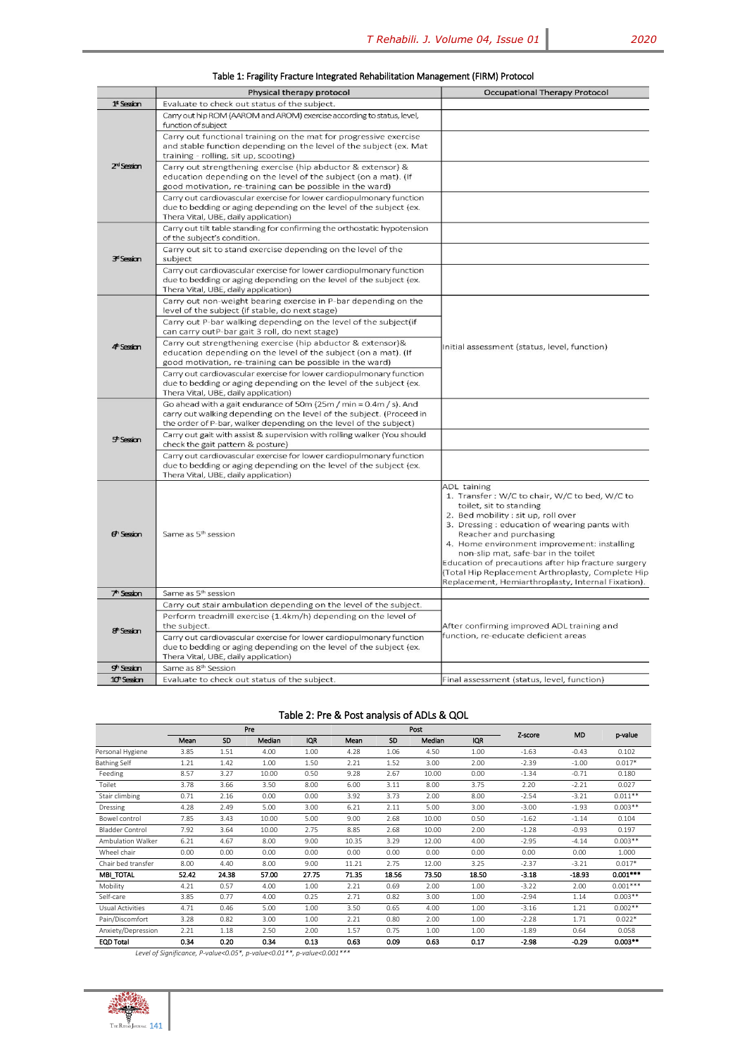|                          | Physical therapy protocol                                                                                                                                                                                         | Occupational Therapy Protocol                                                                                                                                                                                                                                                                                                                                                                                                                                             |  |  |
|--------------------------|-------------------------------------------------------------------------------------------------------------------------------------------------------------------------------------------------------------------|---------------------------------------------------------------------------------------------------------------------------------------------------------------------------------------------------------------------------------------------------------------------------------------------------------------------------------------------------------------------------------------------------------------------------------------------------------------------------|--|--|
| $1s$ Session             | Evaluate to check out status of the subject.                                                                                                                                                                      |                                                                                                                                                                                                                                                                                                                                                                                                                                                                           |  |  |
| $Zd$ Session             | Carry out hip ROM (AAROM and AROM) exercise according to status, level,<br>function of subject                                                                                                                    |                                                                                                                                                                                                                                                                                                                                                                                                                                                                           |  |  |
|                          | Carry out functional training on the mat for progressive exercise<br>and stable function depending on the level of the subject (ex. Mat<br>training - rolling, sit up, scooting)                                  |                                                                                                                                                                                                                                                                                                                                                                                                                                                                           |  |  |
|                          | Carry out strengthening exercise (hip abductor & extensor) &<br>education depending on the level of the subject (on a mat). (If<br>good motivation, re-training can be possible in the ward)                      |                                                                                                                                                                                                                                                                                                                                                                                                                                                                           |  |  |
|                          | Carry out cardiovascular exercise for lower cardiopulmonary function<br>due to bedding or aging depending on the level of the subject (ex.<br>Thera Vital, UBE, daily application)                                |                                                                                                                                                                                                                                                                                                                                                                                                                                                                           |  |  |
| 3 <sup>rd</sup> Session  | Carry out tilt table standing for confirming the orthostatic hypotension<br>of the subject's condition.                                                                                                           |                                                                                                                                                                                                                                                                                                                                                                                                                                                                           |  |  |
|                          | Carry out sit to stand exercise depending on the level of the<br>subject                                                                                                                                          |                                                                                                                                                                                                                                                                                                                                                                                                                                                                           |  |  |
|                          | Carry out cardiovascular exercise for lower cardiopulmonary function<br>due to bedding or aging depending on the level of the subject (ex.<br>Thera Vital, UBE, daily application)                                |                                                                                                                                                                                                                                                                                                                                                                                                                                                                           |  |  |
| $4th$ Session            | Carry out non-weight bearing exercise in P-bar depending on the<br>level of the subject (if stable, do next stage)                                                                                                |                                                                                                                                                                                                                                                                                                                                                                                                                                                                           |  |  |
|                          | Carry out P-bar walking depending on the level of the subject(if<br>can carry outP-bar gait 3 roll, do next stage)                                                                                                |                                                                                                                                                                                                                                                                                                                                                                                                                                                                           |  |  |
|                          | Carry out strengthening exercise (hip abductor & extensor)&<br>education depending on the level of the subject (on a mat). (If<br>good motivation, re-training can be possible in the ward)                       | Initial assessment (status, level, function)                                                                                                                                                                                                                                                                                                                                                                                                                              |  |  |
|                          | Carry out cardiovascular exercise for lower cardiopulmonary function<br>due to bedding or aging depending on the level of the subject (ex.<br>Thera Vital, UBE, daily application)                                |                                                                                                                                                                                                                                                                                                                                                                                                                                                                           |  |  |
|                          | Go ahead with a gait endurance of 50m (25m / min = $0.4$ m / s). And<br>carry out walking depending on the level of the subject. (Proceed in<br>the order of P-bar, walker depending on the level of the subject) |                                                                                                                                                                                                                                                                                                                                                                                                                                                                           |  |  |
| 5 <sup>th</sup> Session  | Carry out gait with assist & supervision with rolling walker (You should<br>check the gait pattern & posture)                                                                                                     |                                                                                                                                                                                                                                                                                                                                                                                                                                                                           |  |  |
|                          | Carry out cardiovascular exercise for lower cardiopulmonary function<br>due to bedding or aging depending on the level of the subject (ex.<br>Thera Vital, UBE, daily application)                                |                                                                                                                                                                                                                                                                                                                                                                                                                                                                           |  |  |
| et Session               | Same as 5 <sup>th</sup> session                                                                                                                                                                                   | <b>ADL taining</b><br>1. Transfer: W/C to chair, W/C to bed, W/C to<br>toilet, sit to standing<br>2. Bed mobility : sit up, roll over<br>3. Dressing : education of wearing pants with<br>Reacher and purchasing<br>4. Home environment improvement: installing<br>non-slip mat, safe-bar in the toilet<br>Education of precautions after hip fracture surgery<br>(Total Hip Replacement Arthroplasty, Complete Hip<br>Replacement, Hemiarthroplasty, Internal Fixation). |  |  |
| 7 <sup>h</sup> Session   | Same as 5 <sup>th</sup> session                                                                                                                                                                                   |                                                                                                                                                                                                                                                                                                                                                                                                                                                                           |  |  |
| 8 <sup>th</sup> Session  | Carry out stair ambulation depending on the level of the subject.                                                                                                                                                 |                                                                                                                                                                                                                                                                                                                                                                                                                                                                           |  |  |
|                          | Perform treadmill exercise (1.4km/h) depending on the level of<br>the subject.                                                                                                                                    | After confirming improved ADL training and                                                                                                                                                                                                                                                                                                                                                                                                                                |  |  |
|                          | Carry out cardiovascular exercise for lower cardiopulmonary function<br>due to bedding or aging depending on the level of the subject (ex.<br>Thera Vital, UBE, daily application)                                | function, re-educate deficient areas                                                                                                                                                                                                                                                                                                                                                                                                                                      |  |  |
| gh Session               | Same as 8 <sup>th</sup> Session                                                                                                                                                                                   |                                                                                                                                                                                                                                                                                                                                                                                                                                                                           |  |  |
| 10 <sup>th</sup> Session | Evaluate to check out status of the subject.                                                                                                                                                                      | Final assessment (status, level, function)                                                                                                                                                                                                                                                                                                                                                                                                                                |  |  |
|                          |                                                                                                                                                                                                                   |                                                                                                                                                                                                                                                                                                                                                                                                                                                                           |  |  |

## Table 1: Fragility Fracture Integrated Rehabilitation Management (FIRM) Protocol

Table 2: Pre & Post analysis of ADLs & QOL

|                     | Pre   |       |        | Post       |       |       |        |            |         |           |            |
|---------------------|-------|-------|--------|------------|-------|-------|--------|------------|---------|-----------|------------|
|                     | Mean  | SD    | Median | <b>IQR</b> | Mean  | SD    | Median | <b>IQR</b> | Z-score | <b>MD</b> | p-value    |
| Personal Hygiene    | 3.85  | 1.51  | 4.00   | 1.00       | 4.28  | 1.06  | 4.50   | 1.00       | $-1.63$ | $-0.43$   | 0.102      |
| <b>Bathing Self</b> | 1.21  | 1.42  | 1.00   | 1.50       | 2.21  | 1.52  | 3.00   | 2.00       | $-2.39$ | $-1.00$   | $0.017*$   |
| Feeding             | 8.57  | 3.27  | 10.00  | 0.50       | 9.28  | 2.67  | 10.00  | 0.00       | $-1.34$ | $-0.71$   | 0.180      |
| Toilet              | 3.78  | 3.66  | 3.50   | 8.00       | 6.00  | 3.11  | 8.00   | 3.75       | 2.20    | $-2.21$   | 0.027      |
| Stair climbing      | 0.71  | 2.16  | 0.00   | 0.00       | 3.92  | 3.73  | 2.00   | 8.00       | $-2.54$ | $-3.21$   | $0.011**$  |
| Dressing            | 4.28  | 2.49  | 5.00   | 3.00       | 6.21  | 2.11  | 5.00   | 3.00       | $-3.00$ | $-1.93$   | $0.003**$  |
| Bowel control       | 7.85  | 3.43  | 10.00  | 5.00       | 9.00  | 2.68  | 10.00  | 0.50       | $-1.62$ | $-1.14$   | 0.104      |
| Bladder Control     | 7.92  | 3.64  | 10.00  | 2.75       | 8.85  | 2.68  | 10.00  | 2.00       | $-1.28$ | $-0.93$   | 0.197      |
| Ambulation Walker   | 6.21  | 4.67  | 8.00   | 9.00       | 10.35 | 3.29  | 12.00  | 4.00       | $-2.95$ | $-4.14$   | $0.003**$  |
| Wheel chair         | 0.00  | 0.00  | 0.00   | 0.00       | 0.00  | 0.00  | 0.00   | 0.00       | 0.00    | 0.00      | 1.000      |
| Chair bed transfer  | 8.00  | 4.40  | 8.00   | 9.00       | 11.21 | 2.75  | 12.00  | 3.25       | $-2.37$ | $-3.21$   | $0.017*$   |
| <b>MBI_TOTAL</b>    | 52.42 | 24.38 | 57.00  | 27.75      | 71.35 | 18.56 | 73.50  | 18.50      | $-3.18$ | $-18.93$  | $0.001***$ |
| Mobility            | 4.21  | 0.57  | 4.00   | 1.00       | 2.21  | 0.69  | 2.00   | 1.00       | $-3.22$ | 2.00      | $0.001***$ |
| Self-care           | 3.85  | 0.77  | 4.00   | 0.25       | 2.71  | 0.82  | 3.00   | 1.00       | $-2.94$ | 1.14      | $0.003**$  |
| Usual Activities    | 4.71  | 0.46  | 5.00   | 1.00       | 3.50  | 0.65  | 4.00   | 1.00       | $-3.16$ | 1.21      | $0.002**$  |
| Pain/Discomfort     | 3.28  | 0.82  | 3.00   | 1.00       | 2.21  | 0.80  | 2.00   | 1.00       | $-2.28$ | 1.71      | $0.022*$   |
| Anxiety/Depression  | 2.21  | 1.18  | 2.50   | 2.00       | 1.57  | 0.75  | 1.00   | 1.00       | $-1.89$ | 0.64      | 0.058      |
| <b>EQD Total</b>    | 0.34  | 0.20  | 0.34   | 0.13       | 0.63  | 0.09  | 0.63   | 0.17       | $-2.98$ | $-0.29$   | $0.003***$ |

*Level of Significance, P-value<0.05\*, p-value<0.01\*\*, p-value<0.001\*\*\**

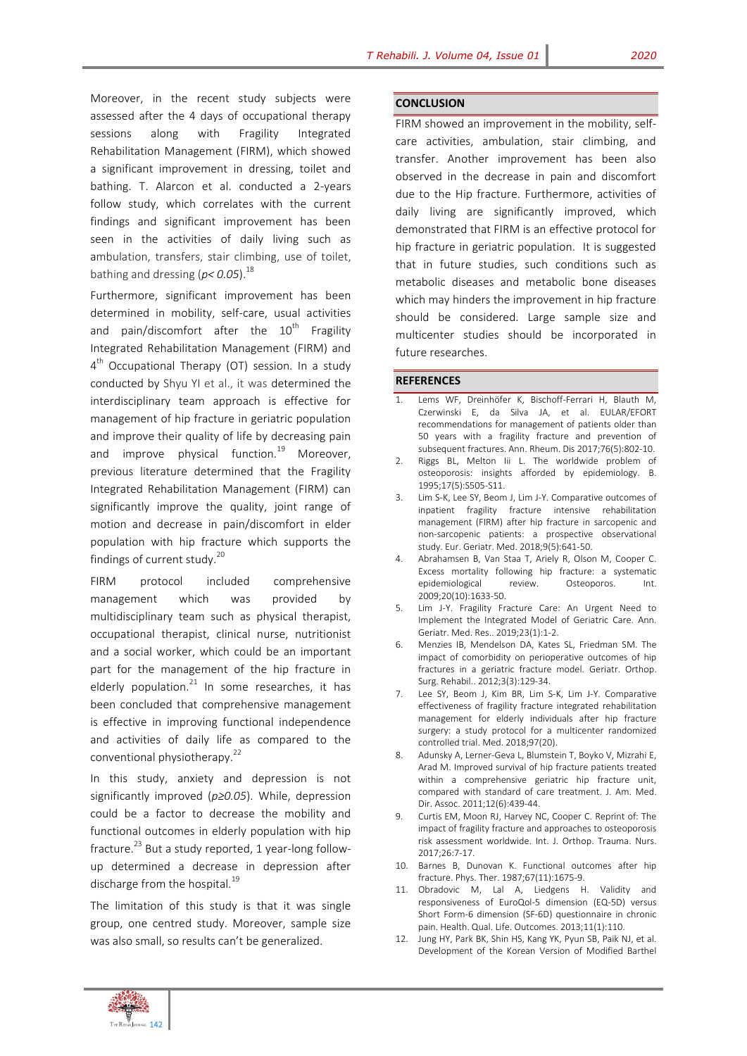Moreover, in the recent study subjects were assessed after the 4 days of occupational therapy sessions along with Fragility Integrated Rehabilitation Management (FIRM), which showed a significant improvement in dressing, toilet and bathing. T. Alarcon et al. conducted a 2-years follow study, which correlates with the current findings and significant improvement has been seen in the activities of daily living such as ambulation, transfers, stair climbing, use of toilet, bathing and dressing ( $p$ < 0.05).<sup>18</sup>

Furthermore, significant improvement has been determined in mobility, self-care, usual activities and pain/discomfort after the  $10^{th}$  Fragility Integrated Rehabilitation Management (FIRM) and 4<sup>th</sup> Occupational Therapy (OT) session. In a study conducted by Shyu YI et al., it was determined the interdisciplinary team approach is effective for management of hip fracture in geriatric population and improve their quality of life by decreasing pain and improve physical function.<sup>19</sup> Moreover, previous literature determined that the Fragility Integrated Rehabilitation Management (FIRM) can significantly improve the quality, joint range of motion and decrease in pain/discomfort in elder population with hip fracture which supports the findings of current study.<sup>20</sup>

FIRM protocol included comprehensive management which was provided by multidisciplinary team such as physical therapist, occupational therapist, clinical nurse, nutritionist and a social worker, which could be an important part for the management of the hip fracture in elderly population.<sup>21</sup> In some researches, it has been concluded that comprehensive management is effective in improving functional independence and activities of daily life as compared to the conventional physiotherapy.<sup>22</sup>

In this study, anxiety and depression is not significantly improved (*p≥0.05*). While, depression could be a factor to decrease the mobility and functional outcomes in elderly population with hip fracture.<sup>23</sup> But a study reported, 1 year-long followup determined a decrease in depression after discharge from the hospital.<sup>19</sup>

The limitation of this study is that it was single group, one centred study. Moreover, sample size was also small, so results can't be generalized.

#### **CONCLUSION**

FIRM showed an improvement in the mobility, selfcare activities, ambulation, stair climbing, and transfer. Another improvement has been also observed in the decrease in pain and discomfort due to the Hip fracture. Furthermore, activities of daily living are significantly improved, which demonstrated that FIRM is an effective protocol for hip fracture in geriatric population. It is suggested that in future studies, such conditions such as metabolic diseases and metabolic bone diseases which may hinders the improvement in hip fracture should be considered. Large sample size and multicenter studies should be incorporated in future researches.

### **REFERENCES**

- 1. Lems WF, Dreinhöfer K, Bischoff-Ferrari H, Blauth M, Czerwinski E, da Silva JA, et al. EULAR/EFORT recommendations for management of patients older than 50 years with a fragility fracture and prevention of subsequent fractures. Ann. Rheum. Dis 2017;76(5):802-10.
- Riggs BL, Melton Iii L. The worldwide problem of osteoporosis: insights afforded by epidemiology. B. 1995;17(5):S505-S11.
- 3. Lim S-K, Lee SY, Beom J, Lim J-Y. Comparative outcomes of inpatient fragility fracture intensive rehabilitation management (FIRM) after hip fracture in sarcopenic and non-sarcopenic patients: a prospective observational study. Eur. Geriatr. Med. 2018;9(5):641-50.
- 4. Abrahamsen B, Van Staa T, Ariely R, Olson M, Cooper C. Excess mortality following hip fracture: a systematic epidemiological review. Osteoporos. Int. 2009;20(10):1633-50.
- 5. Lim J-Y. Fragility Fracture Care: An Urgent Need to Implement the Integrated Model of Geriatric Care. Ann. Geriatr. Med. Res.. 2019;23(1):1-2.
- 6. Menzies IB, Mendelson DA, Kates SL, Friedman SM. The impact of comorbidity on perioperative outcomes of hip fractures in a geriatric fracture model. Geriatr. Orthop. Surg. Rehabil.. 2012;3(3):129-34.
- 7. Lee SY, Beom J, Kim BR, Lim S-K, Lim J-Y. Comparative effectiveness of fragility fracture integrated rehabilitation management for elderly individuals after hip fracture surgery: a study protocol for a multicenter randomized controlled trial. Med. 2018;97(20).
- 8. Adunsky A, Lerner-Geva L, Blumstein T, Boyko V, Mizrahi E, Arad M. Improved survival of hip fracture patients treated within a comprehensive geriatric hip fracture unit, compared with standard of care treatment. J. Am. Med. Dir. Assoc. 2011;12(6):439-44.
- 9. Curtis EM, Moon RJ, Harvey NC, Cooper C. Reprint of: The impact of fragility fracture and approaches to osteoporosis risk assessment worldwide. Int. J. Orthop. Trauma. Nurs. 2017;26:7-17.
- 10. Barnes B, Dunovan K. Functional outcomes after hip fracture. Phys. Ther. 1987;67(11):1675-9.
- 11. Obradovic M, Lal A, Liedgens H. Validity and responsiveness of EuroQol-5 dimension (EQ-5D) versus Short Form-6 dimension (SF-6D) questionnaire in chronic pain. Health. Qual. Life. Outcomes. 2013;11(1):110.
- 12. Jung HY, Park BK, Shin HS, Kang YK, Pyun SB, Paik NJ, et al. Development of the Korean Version of Modified Barthel